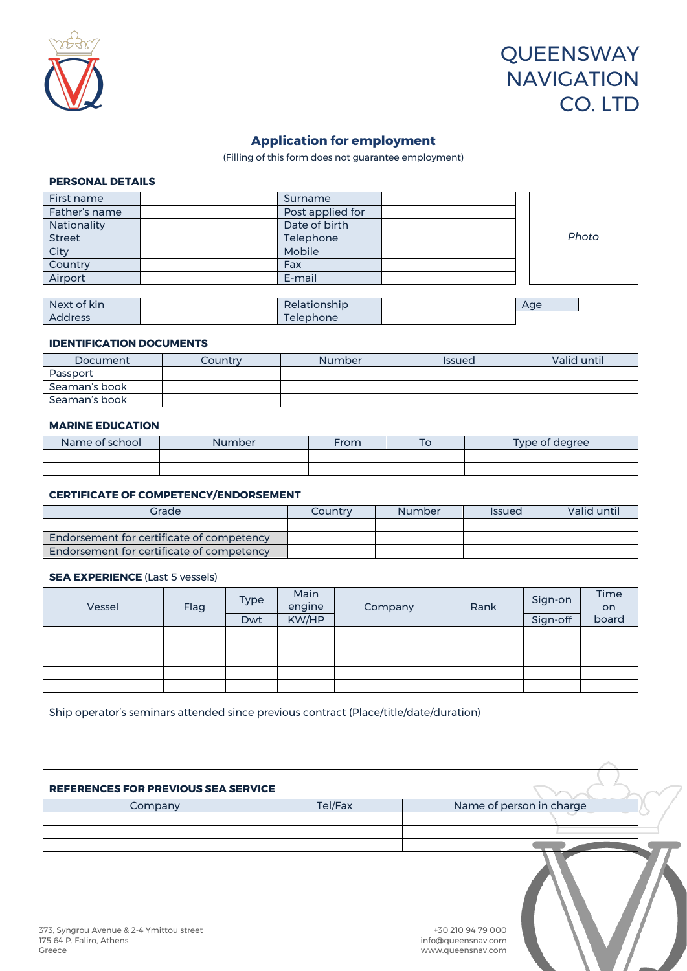

# **QUEENSWAY NAVIGATION** CO. LTD

# **Application for employment**

(Filling of this form does not guarantee employment)

### **PERSONAL DETAILS**

| First name    | Surname          |  |       |
|---------------|------------------|--|-------|
| Father's name | Post applied for |  |       |
| Nationality   | Date of birth    |  |       |
| <b>Street</b> | Telephone        |  | Photo |
| City          | Mobile           |  |       |
| Country       | Fax              |  |       |
| Airport       | E-mail           |  |       |
|               |                  |  |       |

| Next of kin    | Relationship                         | Aae |  |
|----------------|--------------------------------------|-----|--|
| <b>Address</b> | $\overline{\phantom{a}}$<br>elephone |     |  |

#### **IDENTIFICATION DOCUMENTS**

| Document      | Countrv | <b>Number</b> | <b>Issued</b> | Valid until |
|---------------|---------|---------------|---------------|-------------|
| Passport      |         |               |               |             |
| Seaman's book |         |               |               |             |
| Seaman's book |         |               |               |             |

### **MARINE EDUCATION**

| Name of school | <b>Number</b> | From | 10 | Type of degree |
|----------------|---------------|------|----|----------------|
|                |               |      |    |                |
|                |               |      |    |                |

#### **CERTIFICATE OF COMPETENCY/ENDORSEMENT**

| Grade                                            | Country | <b>Number</b> | <i><b>Issued</b></i> | Valid until |
|--------------------------------------------------|---------|---------------|----------------------|-------------|
|                                                  |         |               |                      |             |
| <b>Endorsement for certificate of competency</b> |         |               |                      |             |
| Endorsement for certificate of competency        |         |               |                      |             |

# **SEA EXPERIENCE** (Last 5 vessels)

| Vessel | Flag | Type | Main<br>engine | Company | Rank | Sign-on  | Time<br><b>on</b> |
|--------|------|------|----------------|---------|------|----------|-------------------|
|        |      | Dwt  | KW/HP          |         |      | Sign-off | board             |
|        |      |      |                |         |      |          |                   |
|        |      |      |                |         |      |          |                   |
|        |      |      |                |         |      |          |                   |
|        |      |      |                |         |      |          |                   |
|        |      |      |                |         |      |          |                   |

Ship operator's seminars attended since previous contract (Place/title/date/duration)

# **REFERENCES FOR PREVIOUS SEA SERVICE**

| Company | Tel/Fax | Name of person in charge |  |
|---------|---------|--------------------------|--|
|         |         |                          |  |
|         |         |                          |  |
|         |         |                          |  |